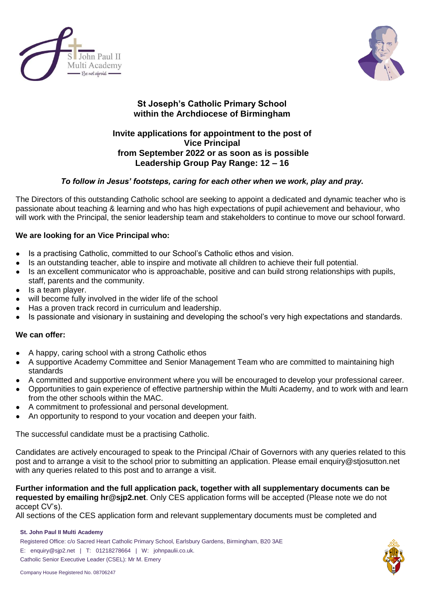



# **St Joseph's Catholic Primary School within the Archdiocese of Birmingham**

# **Invite applications for appointment to the post of Vice Principal from September 2022 or as soon as is possible Leadership Group Pay Range: 12 – 16**

# *To follow in Jesus' footsteps, caring for each other when we work, play and pray.*

The Directors of this outstanding Catholic school are seeking to appoint a dedicated and dynamic teacher who is passionate about teaching & learning and who has high expectations of pupil achievement and behaviour, who will work with the Principal, the senior leadership team and stakeholders to continue to move our school forward.

## **We are looking for an Vice Principal who:**

- Is a practising Catholic, committed to our School's Catholic ethos and vision.
- Is an outstanding teacher, able to inspire and motivate all children to achieve their full potential.
- Is an excellent communicator who is approachable, positive and can build strong relationships with pupils, staff, parents and the community.
- Is a team player.
- will become fully involved in the wider life of the school
- Has a proven track record in curriculum and leadership.
- Is passionate and visionary in sustaining and developing the school's very high expectations and standards.

## **We can offer:**

- A happy, caring school with a strong Catholic ethos
- A supportive Academy Committee and Senior Management Team who are committed to maintaining high standards
- A committed and supportive environment where you will be encouraged to develop your professional career.
- Opportunities to gain experience of effective partnership within the Multi Academy, and to work with and learn from the other schools within the MAC.
- A commitment to professional and personal development.
- An opportunity to respond to your vocation and deepen your faith.

The successful candidate must be a practising Catholic.

Candidates are actively encouraged to speak to the Principal /Chair of Governors with any queries related to this post and to arrange a visit to the school prior to submitting an application. Please email [enquiry@stjosutton.net](mailto:enquiry@stjosutton.net) with any queries related to this post and to arrange a visit.

**Further information and the full application pack, together with all supplementary documents can be requested by emailing hr@sjp2.net**. Only CES application forms will be accepted (Please note we do not accept CV's).

All sections of the CES application form and relevant supplementary documents must be completed and

#### **St. John Paul II Multi Academy**

Registered Office: c/o Sacred Heart Catholic Primary School, Earlsbury Gardens, Birmingham, B20 3AE E: [enquiry@sjp2.net](mailto:enquiry@sjp2.net) | T: 01218278664 | W: johnpaulii.co.uk. Catholic Senior Executive Leader (CSEL): Mr M. Emery